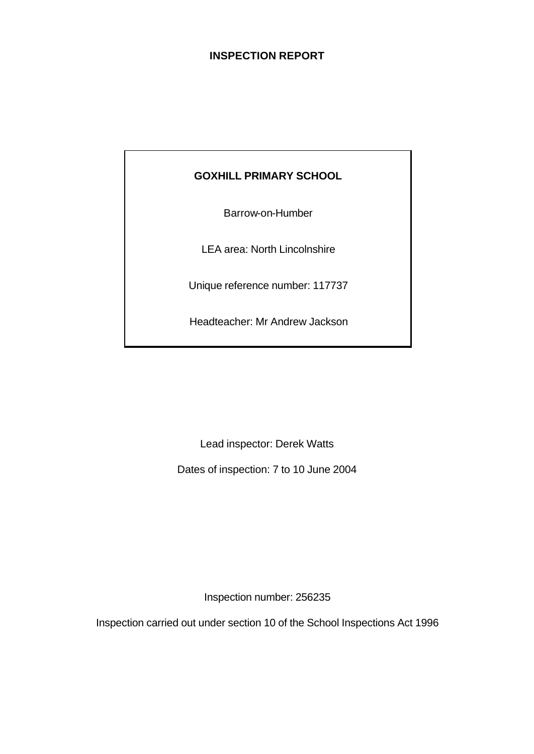## **INSPECTION REPORT**

# **GOXHILL PRIMARY SCHOOL**

Barrow-on-Humber

LEA area: North Lincolnshire

Unique reference number: 117737

Headteacher: Mr Andrew Jackson

Lead inspector: Derek Watts

Dates of inspection: 7 to 10 June 2004

Inspection number: 256235

Inspection carried out under section 10 of the School Inspections Act 1996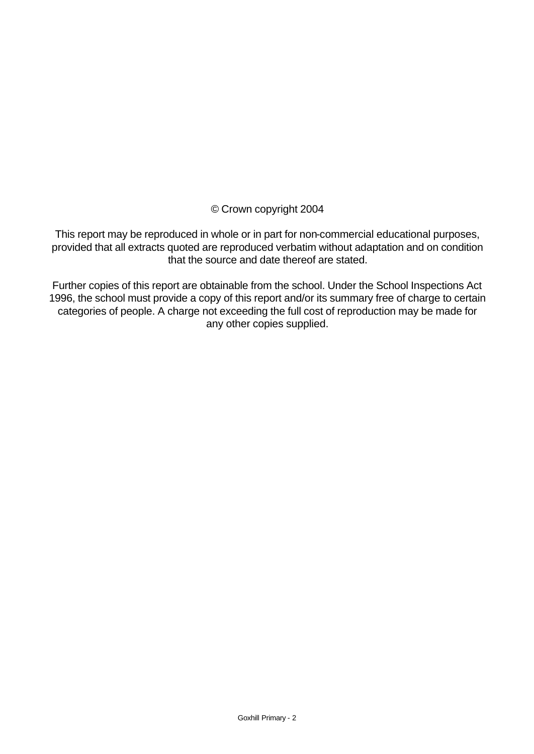© Crown copyright 2004

This report may be reproduced in whole or in part for non-commercial educational purposes, provided that all extracts quoted are reproduced verbatim without adaptation and on condition that the source and date thereof are stated.

Further copies of this report are obtainable from the school. Under the School Inspections Act 1996, the school must provide a copy of this report and/or its summary free of charge to certain categories of people. A charge not exceeding the full cost of reproduction may be made for any other copies supplied.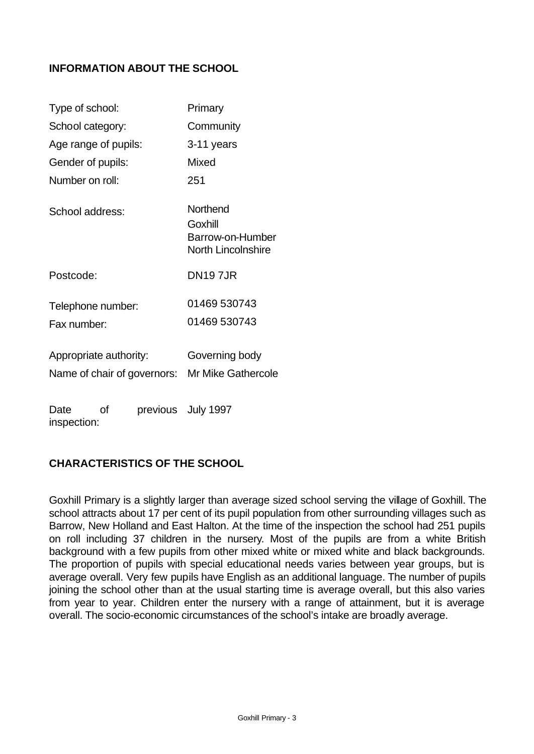## **INFORMATION ABOUT THE SCHOOL**

| Primary                                                              |
|----------------------------------------------------------------------|
| Community                                                            |
| 3-11 years                                                           |
| Mixed                                                                |
| 251                                                                  |
| Northend<br>Goxhill<br>Barrow-on-Humber<br><b>North Lincolnshire</b> |
| <b>DN197JR</b>                                                       |
| 01469 530743<br>01469 530743                                         |
| Governing body<br>Name of chair of governors: Mr Mike Gathercole     |
|                                                                      |

Date of previous July 1997 inspection:

## **CHARACTERISTICS OF THE SCHOOL**

Goxhill Primary is a slightly larger than average sized school serving the village of Goxhill. The school attracts about 17 per cent of its pupil population from other surrounding villages such as Barrow, New Holland and East Halton. At the time of the inspection the school had 251 pupils on roll including 37 children in the nursery. Most of the pupils are from a white British background with a few pupils from other mixed white or mixed white and black backgrounds. The proportion of pupils with special educational needs varies between year groups, but is average overall. Very few pupils have English as an additional language. The number of pupils joining the school other than at the usual starting time is average overall, but this also varies from year to year. Children enter the nursery with a range of attainment, but it is average overall. The socio-economic circumstances of the school's intake are broadly average.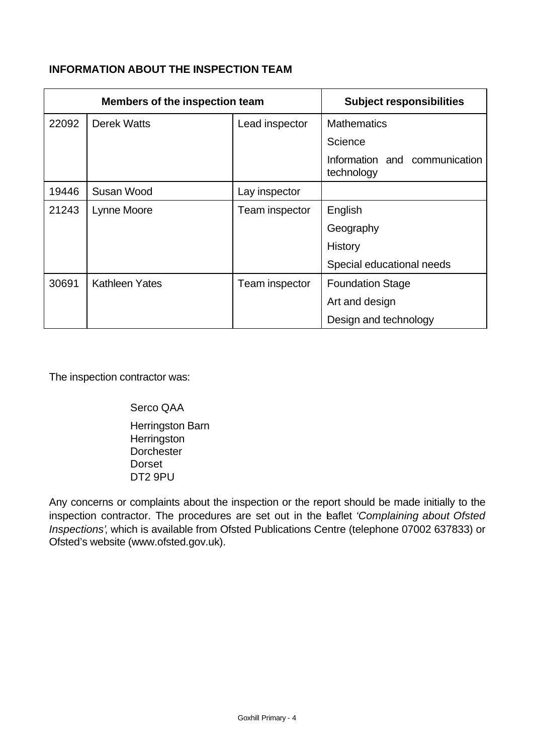## **INFORMATION ABOUT THE INSPECTION TEAM**

| <b>Members of the inspection team</b> |                       |                | <b>Subject responsibilities</b>             |
|---------------------------------------|-----------------------|----------------|---------------------------------------------|
| 22092                                 | <b>Derek Watts</b>    | Lead inspector | <b>Mathematics</b>                          |
|                                       |                       |                | Science                                     |
|                                       |                       |                | Information and communication<br>technology |
| 19446                                 | Susan Wood            | Lay inspector  |                                             |
| 21243                                 | Lynne Moore           | Team inspector | English                                     |
|                                       |                       |                | Geography                                   |
|                                       |                       |                | <b>History</b>                              |
|                                       |                       |                | Special educational needs                   |
| 30691                                 | <b>Kathleen Yates</b> | Team inspector | <b>Foundation Stage</b>                     |
|                                       |                       |                | Art and design                              |
|                                       |                       |                | Design and technology                       |

The inspection contractor was:

Serco QAA

Herringston Barn **Herringston Dorchester** Dorset DT2 9PU

Any concerns or complaints about the inspection or the report should be made initially to the inspection contractor. The procedures are set out in the leaflet *'Complaining about Ofsted Inspections'*, which is available from Ofsted Publications Centre (telephone 07002 637833) or Ofsted's website (www.ofsted.gov.uk).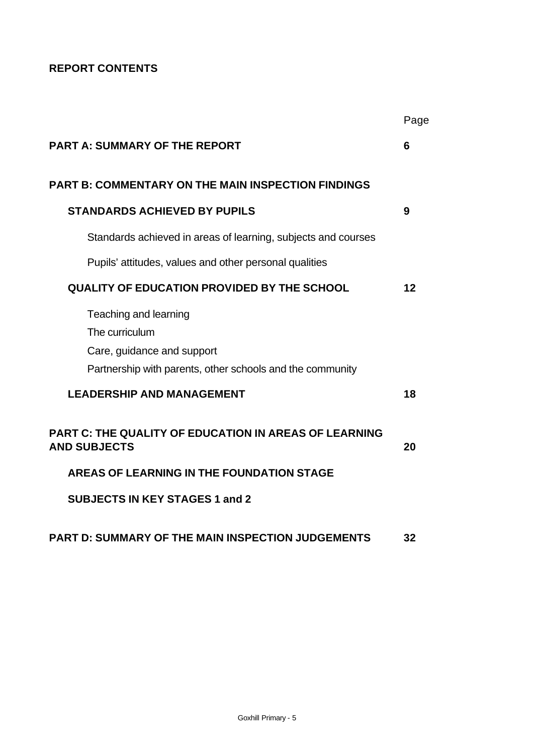# **REPORT CONTENTS**

|                                                                                                                                    | Page |
|------------------------------------------------------------------------------------------------------------------------------------|------|
| <b>PART A: SUMMARY OF THE REPORT</b>                                                                                               | 6    |
| <b>PART B: COMMENTARY ON THE MAIN INSPECTION FINDINGS</b>                                                                          |      |
| <b>STANDARDS ACHIEVED BY PUPILS</b>                                                                                                | 9    |
| Standards achieved in areas of learning, subjects and courses                                                                      |      |
| Pupils' attitudes, values and other personal qualities                                                                             |      |
| <b>QUALITY OF EDUCATION PROVIDED BY THE SCHOOL</b>                                                                                 | 12   |
| Teaching and learning<br>The curriculum<br>Care, guidance and support<br>Partnership with parents, other schools and the community |      |
| <b>LEADERSHIP AND MANAGEMENT</b>                                                                                                   | 18   |
| PART C: THE QUALITY OF EDUCATION IN AREAS OF LEARNING<br><b>AND SUBJECTS</b>                                                       | 20   |
| <b>AREAS OF LEARNING IN THE FOUNDATION STAGE</b>                                                                                   |      |
| <b>SUBJECTS IN KEY STAGES 1 and 2</b>                                                                                              |      |
| PART D: SUMMARY OF THE MAIN INSPECTION JUDGEMENTS                                                                                  | 32   |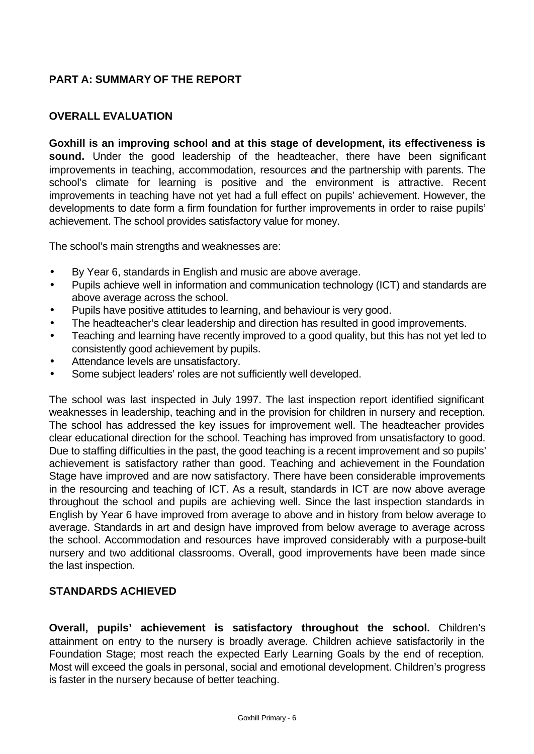# **PART A: SUMMARY OF THE REPORT**

## **OVERALL EVALUATION**

**Goxhill is an improving school and at this stage of development, its effectiveness is sound.** Under the good leadership of the headteacher, there have been significant improvements in teaching, accommodation, resources and the partnership with parents. The school's climate for learning is positive and the environment is attractive. Recent improvements in teaching have not yet had a full effect on pupils' achievement. However, the developments to date form a firm foundation for further improvements in order to raise pupils' achievement. The school provides satisfactory value for money.

The school's main strengths and weaknesses are:

- By Year 6, standards in English and music are above average.
- Pupils achieve well in information and communication technology (ICT) and standards are above average across the school.
- Pupils have positive attitudes to learning, and behaviour is very good.
- The headteacher's clear leadership and direction has resulted in good improvements.
- Teaching and learning have recently improved to a good quality, but this has not yet led to consistently good achievement by pupils.
- Attendance levels are unsatisfactory.
- Some subject leaders' roles are not sufficiently well developed.

The school was last inspected in July 1997. The last inspection report identified significant weaknesses in leadership, teaching and in the provision for children in nursery and reception. The school has addressed the key issues for improvement well. The headteacher provides clear educational direction for the school. Teaching has improved from unsatisfactory to good. Due to staffing difficulties in the past, the good teaching is a recent improvement and so pupils' achievement is satisfactory rather than good. Teaching and achievement in the Foundation Stage have improved and are now satisfactory. There have been considerable improvements in the resourcing and teaching of ICT. As a result, standards in ICT are now above average throughout the school and pupils are achieving well. Since the last inspection standards in English by Year 6 have improved from average to above and in history from below average to average. Standards in art and design have improved from below average to average across the school. Accommodation and resources have improved considerably with a purpose-built nursery and two additional classrooms. Overall, good improvements have been made since the last inspection.

## **STANDARDS ACHIEVED**

**Overall, pupils' achievement is satisfactory throughout the school.** Children's attainment on entry to the nursery is broadly average. Children achieve satisfactorily in the Foundation Stage; most reach the expected Early Learning Goals by the end of reception. Most will exceed the goals in personal, social and emotional development. Children's progress is faster in the nursery because of better teaching.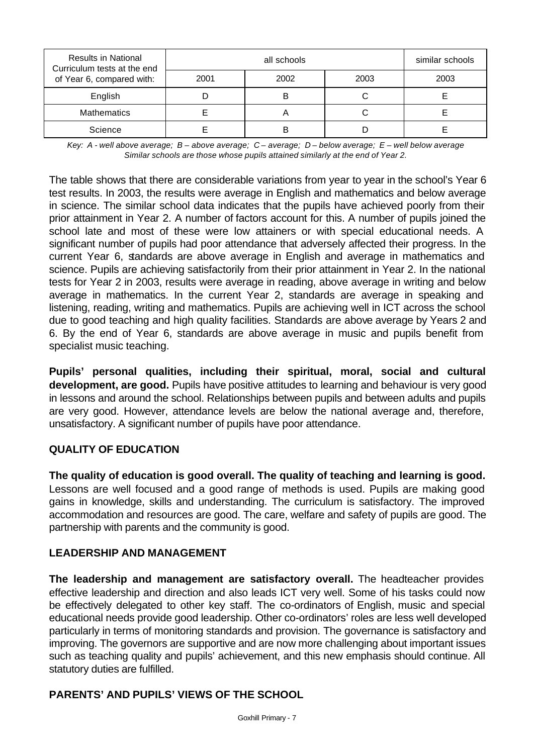| <b>Results in National</b><br>Curriculum tests at the end |      | similar schools |      |      |
|-----------------------------------------------------------|------|-----------------|------|------|
| of Year 6, compared with:                                 | 2001 | 2002            | 2003 | 2003 |
| English                                                   |      |                 |      |      |
| <b>Mathematics</b>                                        |      |                 |      |      |
| Science                                                   |      |                 |      |      |

*Key: A - well above average; B – above average; C – average; D – below average; E – well below average Similar schools are those whose pupils attained similarly at the end of Year 2.*

The table shows that there are considerable variations from year to year in the school's Year 6 test results. In 2003, the results were average in English and mathematics and below average in science. The similar school data indicates that the pupils have achieved poorly from their prior attainment in Year 2. A number of factors account for this. A number of pupils joined the school late and most of these were low attainers or with special educational needs. A significant number of pupils had poor attendance that adversely affected their progress. In the current Year 6, standards are above average in English and average in mathematics and science. Pupils are achieving satisfactorily from their prior attainment in Year 2. In the national tests for Year 2 in 2003, results were average in reading, above average in writing and below average in mathematics. In the current Year 2, standards are average in speaking and listening, reading, writing and mathematics. Pupils are achieving well in ICT across the school due to good teaching and high quality facilities. Standards are above average by Years 2 and 6. By the end of Year 6, standards are above average in music and pupils benefit from specialist music teaching.

**Pupils' personal qualities, including their spiritual, moral, social and cultural development, are good.** Pupils have positive attitudes to learning and behaviour is very good in lessons and around the school. Relationships between pupils and between adults and pupils are very good. However, attendance levels are below the national average and, therefore, unsatisfactory. A significant number of pupils have poor attendance.

## **QUALITY OF EDUCATION**

**The quality of education is good overall. The quality of teaching and learning is good.**  Lessons are well focused and a good range of methods is used. Pupils are making good gains in knowledge, skills and understanding. The curriculum is satisfactory. The improved accommodation and resources are good. The care, welfare and safety of pupils are good. The partnership with parents and the community is good.

### **LEADERSHIP AND MANAGEMENT**

**The leadership and management are satisfactory overall.** The headteacher provides effective leadership and direction and also leads ICT very well. Some of his tasks could now be effectively delegated to other key staff. The co-ordinators of English, music and special educational needs provide good leadership. Other co-ordinators' roles are less well developed particularly in terms of monitoring standards and provision. The governance is satisfactory and improving. The governors are supportive and are now more challenging about important issues such as teaching quality and pupils' achievement, and this new emphasis should continue. All statutory duties are fulfilled.

## **PARENTS' AND PUPILS' VIEWS OF THE SCHOOL**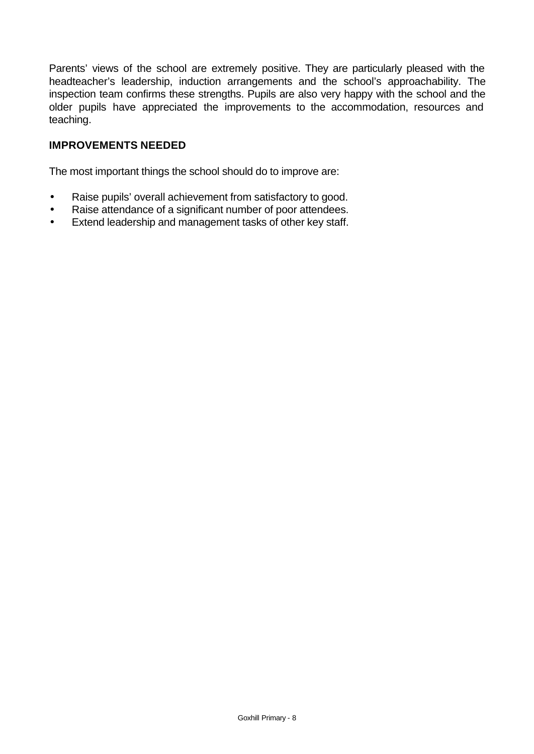Parents' views of the school are extremely positive. They are particularly pleased with the headteacher's leadership, induction arrangements and the school's approachability. The inspection team confirms these strengths. Pupils are also very happy with the school and the older pupils have appreciated the improvements to the accommodation, resources and teaching.

## **IMPROVEMENTS NEEDED**

The most important things the school should do to improve are:

- Raise pupils' overall achievement from satisfactory to good.
- Raise attendance of a significant number of poor attendees.
- Extend leadership and management tasks of other key staff.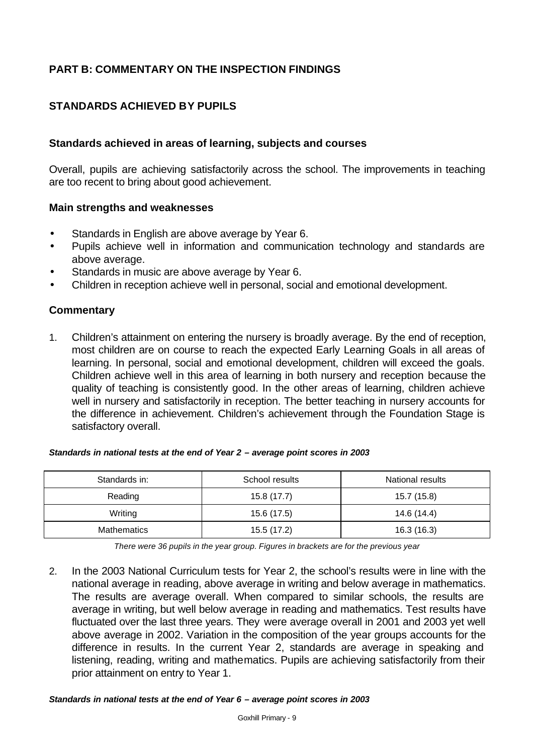# **PART B: COMMENTARY ON THE INSPECTION FINDINGS**

## **STANDARDS ACHIEVED BY PUPILS**

#### **Standards achieved in areas of learning, subjects and courses**

Overall, pupils are achieving satisfactorily across the school. The improvements in teaching are too recent to bring about good achievement.

#### **Main strengths and weaknesses**

- Standards in English are above average by Year 6.
- Pupils achieve well in information and communication technology and standards are above average.
- Standards in music are above average by Year 6.
- Children in reception achieve well in personal, social and emotional development.

#### **Commentary**

1. Children's attainment on entering the nursery is broadly average. By the end of reception, most children are on course to reach the expected Early Learning Goals in all areas of learning. In personal, social and emotional development, children will exceed the goals. Children achieve well in this area of learning in both nursery and reception because the quality of teaching is consistently good. In the other areas of learning, children achieve well in nursery and satisfactorily in reception. The better teaching in nursery accounts for the difference in achievement. Children's achievement through the Foundation Stage is satisfactory overall.

| Standards in: | School results | National results |
|---------------|----------------|------------------|
| Reading       | 15.8 (17.7)    | 15.7 (15.8)      |
| Writing       | 15.6 (17.5)    | 14.6 (14.4)      |
| Mathematics   | 15.5 (17.2)    | 16.3(16.3)       |

#### *Standards in national tests at the end of Year 2 – average point scores in 2003*

*There were 36 pupils in the year group. Figures in brackets are for the previous year* 

2. In the 2003 National Curriculum tests for Year 2, the school's results were in line with the national average in reading, above average in writing and below average in mathematics. The results are average overall. When compared to similar schools, the results are average in writing, but well below average in reading and mathematics. Test results have fluctuated over the last three years. They were average overall in 2001 and 2003 yet well above average in 2002. Variation in the composition of the year groups accounts for the difference in results. In the current Year 2, standards are average in speaking and listening, reading, writing and mathematics. Pupils are achieving satisfactorily from their prior attainment on entry to Year 1.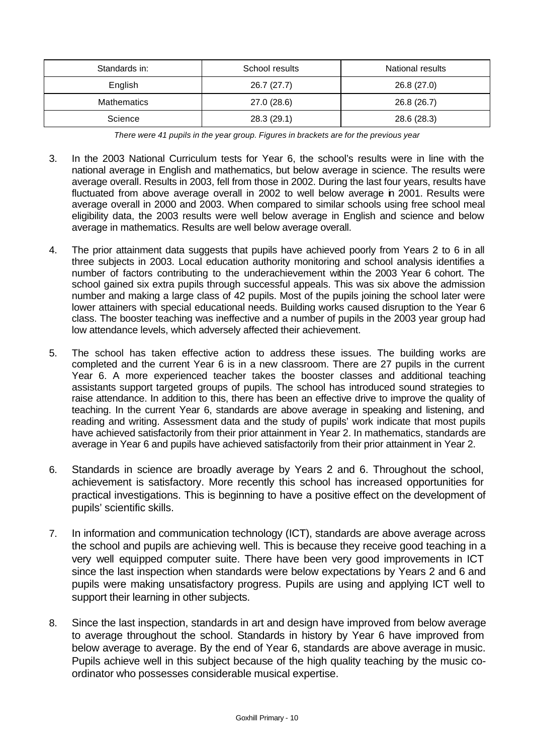| Standards in:      | School results | National results |
|--------------------|----------------|------------------|
| English            | 26.7 (27.7)    | 26.8 (27.0)      |
| <b>Mathematics</b> | 27.0 (28.6)    | 26.8 (26.7)      |
| Science            | 28.3 (29.1)    | 28.6 (28.3)      |

*There were 41 pupils in the year group. Figures in brackets are for the previous year*

- 3. In the 2003 National Curriculum tests for Year 6, the school's results were in line with the national average in English and mathematics, but below average in science. The results were average overall. Results in 2003, fell from those in 2002. During the last four years, results have fluctuated from above average overall in 2002 to well below average in 2001. Results were average overall in 2000 and 2003. When compared to similar schools using free school meal eligibility data, the 2003 results were well below average in English and science and below average in mathematics. Results are well below average overall.
- 4. The prior attainment data suggests that pupils have achieved poorly from Years 2 to 6 in all three subjects in 2003. Local education authority monitoring and school analysis identifies a number of factors contributing to the underachievement within the 2003 Year 6 cohort. The school gained six extra pupils through successful appeals. This was six above the admission number and making a large class of 42 pupils. Most of the pupils joining the school later were lower attainers with special educational needs. Building works caused disruption to the Year 6 class. The booster teaching was ineffective and a number of pupils in the 2003 year group had low attendance levels, which adversely affected their achievement.
- 5. The school has taken effective action to address these issues. The building works are completed and the current Year 6 is in a new classroom. There are 27 pupils in the current Year 6. A more experienced teacher takes the booster classes and additional teaching assistants support targeted groups of pupils. The school has introduced sound strategies to raise attendance. In addition to this, there has been an effective drive to improve the quality of teaching. In the current Year 6, standards are above average in speaking and listening, and reading and writing. Assessment data and the study of pupils' work indicate that most pupils have achieved satisfactorily from their prior attainment in Year 2. In mathematics, standards are average in Year 6 and pupils have achieved satisfactorily from their prior attainment in Year 2.
- 6. Standards in science are broadly average by Years 2 and 6. Throughout the school, achievement is satisfactory. More recently this school has increased opportunities for practical investigations. This is beginning to have a positive effect on the development of pupils' scientific skills.
- 7. In information and communication technology (ICT), standards are above average across the school and pupils are achieving well. This is because they receive good teaching in a very well equipped computer suite. There have been very good improvements in ICT since the last inspection when standards were below expectations by Years 2 and 6 and pupils were making unsatisfactory progress. Pupils are using and applying ICT well to support their learning in other subjects.
- 8. Since the last inspection, standards in art and design have improved from below average to average throughout the school. Standards in history by Year 6 have improved from below average to average. By the end of Year 6, standards are above average in music. Pupils achieve well in this subject because of the high quality teaching by the music coordinator who possesses considerable musical expertise.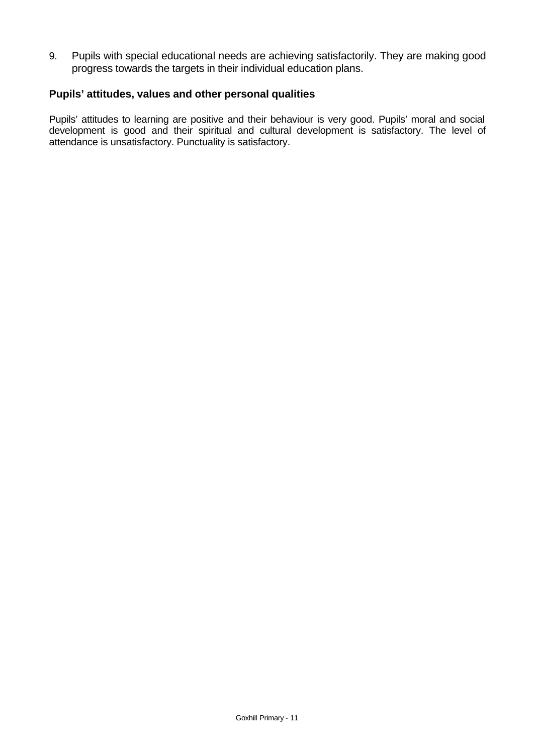9. Pupils with special educational needs are achieving satisfactorily. They are making good progress towards the targets in their individual education plans.

#### **Pupils' attitudes, values and other personal qualities**

Pupils' attitudes to learning are positive and their behaviour is very good. Pupils' moral and social development is good and their spiritual and cultural development is satisfactory. The level of attendance is unsatisfactory. Punctuality is satisfactory.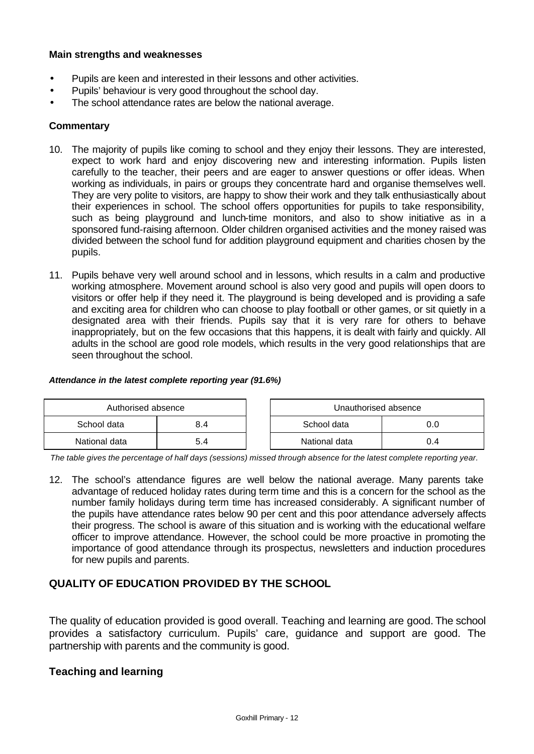#### **Main strengths and weaknesses**

- Pupils are keen and interested in their lessons and other activities.
- Pupils' behaviour is very good throughout the school day.
- The school attendance rates are below the national average.

#### **Commentary**

- 10. The majority of pupils like coming to school and they enjoy their lessons. They are interested, expect to work hard and enjoy discovering new and interesting information. Pupils listen carefully to the teacher, their peers and are eager to answer questions or offer ideas. When working as individuals, in pairs or groups they concentrate hard and organise themselves well. They are very polite to visitors, are happy to show their work and they talk enthusiastically about their experiences in school. The school offers opportunities for pupils to take responsibility, such as being playground and lunch-time monitors, and also to show initiative as in a sponsored fund-raising afternoon. Older children organised activities and the money raised was divided between the school fund for addition playground equipment and charities chosen by the pupils.
- 11. Pupils behave very well around school and in lessons, which results in a calm and productive working atmosphere. Movement around school is also very good and pupils will open doors to visitors or offer help if they need it. The playground is being developed and is providing a safe and exciting area for children who can choose to play football or other games, or sit quietly in a designated area with their friends. Pupils say that it is very rare for others to behave inappropriately, but on the few occasions that this happens, it is dealt with fairly and quickly. All adults in the school are good role models, which results in the very good relationships that are seen throughout the school.

#### *Attendance in the latest complete reporting year (91.6%)*

| Authorised absence |     |  | Unauthorised absence |     |  |
|--------------------|-----|--|----------------------|-----|--|
| School data        | 8.4 |  | School data<br>0.0   |     |  |
| National data      | 5.4 |  | National data        | J.4 |  |

*The table gives the percentage of half days (sessions) missed through absence for the latest complete reporting year.*

12. The school's attendance figures are well below the national average. Many parents take advantage of reduced holiday rates during term time and this is a concern for the school as the number family holidays during term time has increased considerably. A significant number of the pupils have attendance rates below 90 per cent and this poor attendance adversely affects their progress. The school is aware of this situation and is working with the educational welfare officer to improve attendance. However, the school could be more proactive in promoting the importance of good attendance through its prospectus, newsletters and induction procedures for new pupils and parents.

### **QUALITY OF EDUCATION PROVIDED BY THE SCHOOL**

The quality of education provided is good overall. Teaching and learning are good. The school provides a satisfactory curriculum. Pupils' care, guidance and support are good. The partnership with parents and the community is good.

### **Teaching and learning**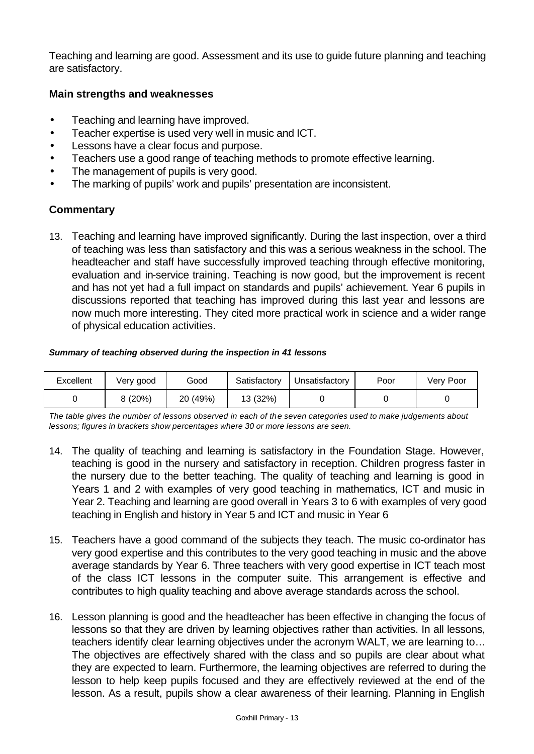Teaching and learning are good. Assessment and its use to guide future planning and teaching are satisfactory.

### **Main strengths and weaknesses**

- Teaching and learning have improved.
- Teacher expertise is used very well in music and ICT.
- Lessons have a clear focus and purpose.
- Teachers use a good range of teaching methods to promote effective learning.
- The management of pupils is very good.
- The marking of pupils' work and pupils' presentation are inconsistent.

## **Commentary**

13. Teaching and learning have improved significantly. During the last inspection, over a third of teaching was less than satisfactory and this was a serious weakness in the school. The headteacher and staff have successfully improved teaching through effective monitoring, evaluation and in-service training. Teaching is now good, but the improvement is recent and has not yet had a full impact on standards and pupils' achievement. Year 6 pupils in discussions reported that teaching has improved during this last year and lessons are now much more interesting. They cited more practical work in science and a wider range of physical education activities.

#### *Summary of teaching observed during the inspection in 41 lessons*

| Excellent | Very good | Good     | Satisfactory | Unsatisfactory | Poor | Very Poor |
|-----------|-----------|----------|--------------|----------------|------|-----------|
|           | 8(20%)    | 20 (49%) | 13 (32%)     |                |      |           |

*The table gives the number of lessons observed in each of the seven categories used to make judgements about lessons; figures in brackets show percentages where 30 or more lessons are seen.*

- 14. The quality of teaching and learning is satisfactory in the Foundation Stage. However, teaching is good in the nursery and satisfactory in reception. Children progress faster in the nursery due to the better teaching. The quality of teaching and learning is good in Years 1 and 2 with examples of very good teaching in mathematics, ICT and music in Year 2. Teaching and learning are good overall in Years 3 to 6 with examples of very good teaching in English and history in Year 5 and ICT and music in Year 6
- 15. Teachers have a good command of the subjects they teach. The music co-ordinator has very good expertise and this contributes to the very good teaching in music and the above average standards by Year 6. Three teachers with very good expertise in ICT teach most of the class ICT lessons in the computer suite. This arrangement is effective and contributes to high quality teaching and above average standards across the school.
- 16. Lesson planning is good and the headteacher has been effective in changing the focus of lessons so that they are driven by learning objectives rather than activities. In all lessons, teachers identify clear learning objectives under the acronym WALT, we are learning to… The objectives are effectively shared with the class and so pupils are clear about what they are expected to learn. Furthermore, the learning objectives are referred to during the lesson to help keep pupils focused and they are effectively reviewed at the end of the lesson. As a result, pupils show a clear awareness of their learning. Planning in English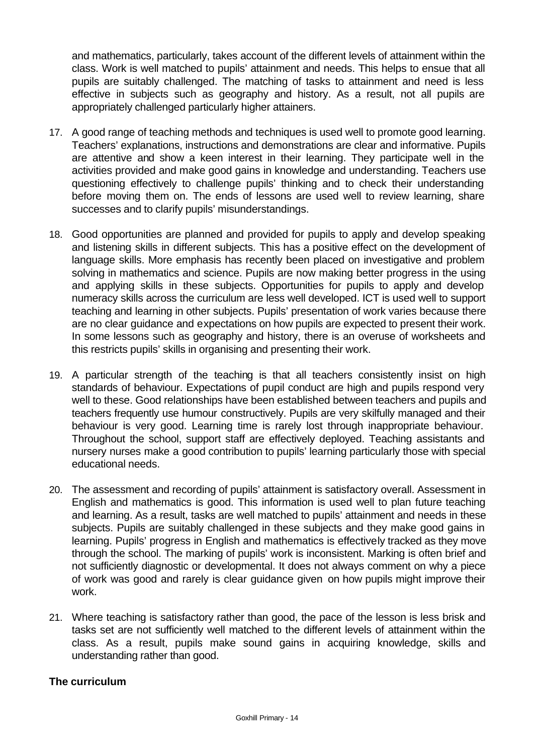and mathematics, particularly, takes account of the different levels of attainment within the class. Work is well matched to pupils' attainment and needs. This helps to ensue that all pupils are suitably challenged. The matching of tasks to attainment and need is less effective in subjects such as geography and history. As a result, not all pupils are appropriately challenged particularly higher attainers.

- 17. A good range of teaching methods and techniques is used well to promote good learning. Teachers' explanations, instructions and demonstrations are clear and informative. Pupils are attentive and show a keen interest in their learning. They participate well in the activities provided and make good gains in knowledge and understanding. Teachers use questioning effectively to challenge pupils' thinking and to check their understanding before moving them on. The ends of lessons are used well to review learning, share successes and to clarify pupils' misunderstandings.
- 18. Good opportunities are planned and provided for pupils to apply and develop speaking and listening skills in different subjects. This has a positive effect on the development of language skills. More emphasis has recently been placed on investigative and problem solving in mathematics and science. Pupils are now making better progress in the using and applying skills in these subjects. Opportunities for pupils to apply and develop numeracy skills across the curriculum are less well developed. ICT is used well to support teaching and learning in other subjects. Pupils' presentation of work varies because there are no clear guidance and expectations on how pupils are expected to present their work. In some lessons such as geography and history, there is an overuse of worksheets and this restricts pupils' skills in organising and presenting their work.
- 19. A particular strength of the teaching is that all teachers consistently insist on high standards of behaviour. Expectations of pupil conduct are high and pupils respond very well to these. Good relationships have been established between teachers and pupils and teachers frequently use humour constructively. Pupils are very skilfully managed and their behaviour is very good. Learning time is rarely lost through inappropriate behaviour. Throughout the school, support staff are effectively deployed. Teaching assistants and nursery nurses make a good contribution to pupils' learning particularly those with special educational needs.
- 20. The assessment and recording of pupils' attainment is satisfactory overall. Assessment in English and mathematics is good. This information is used well to plan future teaching and learning. As a result, tasks are well matched to pupils' attainment and needs in these subjects. Pupils are suitably challenged in these subjects and they make good gains in learning. Pupils' progress in English and mathematics is effectively tracked as they move through the school. The marking of pupils' work is inconsistent. Marking is often brief and not sufficiently diagnostic or developmental. It does not always comment on why a piece of work was good and rarely is clear guidance given on how pupils might improve their work.
- 21. Where teaching is satisfactory rather than good, the pace of the lesson is less brisk and tasks set are not sufficiently well matched to the different levels of attainment within the class. As a result, pupils make sound gains in acquiring knowledge, skills and understanding rather than good.

### **The curriculum**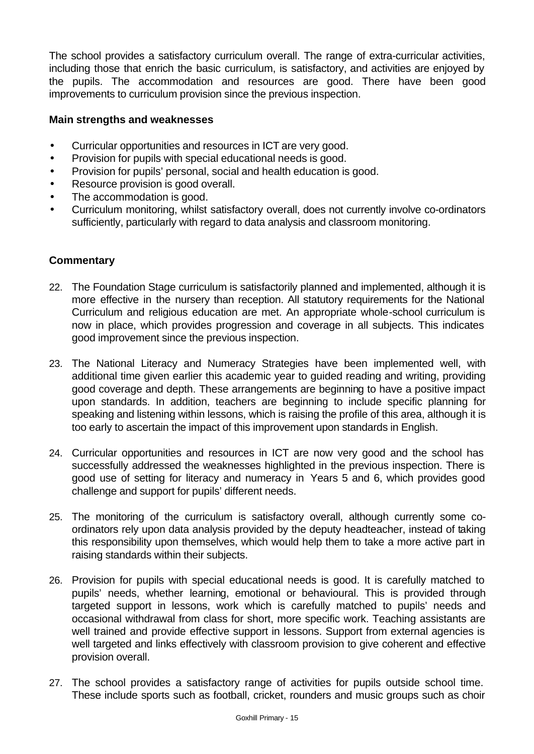The school provides a satisfactory curriculum overall. The range of extra-curricular activities, including those that enrich the basic curriculum, is satisfactory, and activities are enjoyed by the pupils. The accommodation and resources are good. There have been good improvements to curriculum provision since the previous inspection.

### **Main strengths and weaknesses**

- Curricular opportunities and resources in ICT are very good.
- Provision for pupils with special educational needs is good.
- Provision for pupils' personal, social and health education is good.
- Resource provision is good overall.
- The accommodation is good.
- Curriculum monitoring, whilst satisfactory overall, does not currently involve co-ordinators sufficiently, particularly with regard to data analysis and classroom monitoring.

- 22. The Foundation Stage curriculum is satisfactorily planned and implemented, although it is more effective in the nursery than reception. All statutory requirements for the National Curriculum and religious education are met. An appropriate whole-school curriculum is now in place, which provides progression and coverage in all subjects. This indicates good improvement since the previous inspection.
- 23. The National Literacy and Numeracy Strategies have been implemented well, with additional time given earlier this academic year to guided reading and writing, providing good coverage and depth. These arrangements are beginning to have a positive impact upon standards. In addition, teachers are beginning to include specific planning for speaking and listening within lessons, which is raising the profile of this area, although it is too early to ascertain the impact of this improvement upon standards in English.
- 24. Curricular opportunities and resources in ICT are now very good and the school has successfully addressed the weaknesses highlighted in the previous inspection. There is good use of setting for literacy and numeracy in Years 5 and 6, which provides good challenge and support for pupils' different needs.
- 25. The monitoring of the curriculum is satisfactory overall, although currently some coordinators rely upon data analysis provided by the deputy headteacher, instead of taking this responsibility upon themselves, which would help them to take a more active part in raising standards within their subjects.
- 26. Provision for pupils with special educational needs is good. It is carefully matched to pupils' needs, whether learning, emotional or behavioural. This is provided through targeted support in lessons, work which is carefully matched to pupils' needs and occasional withdrawal from class for short, more specific work. Teaching assistants are well trained and provide effective support in lessons. Support from external agencies is well targeted and links effectively with classroom provision to give coherent and effective provision overall.
- 27. The school provides a satisfactory range of activities for pupils outside school time. These include sports such as football, cricket, rounders and music groups such as choir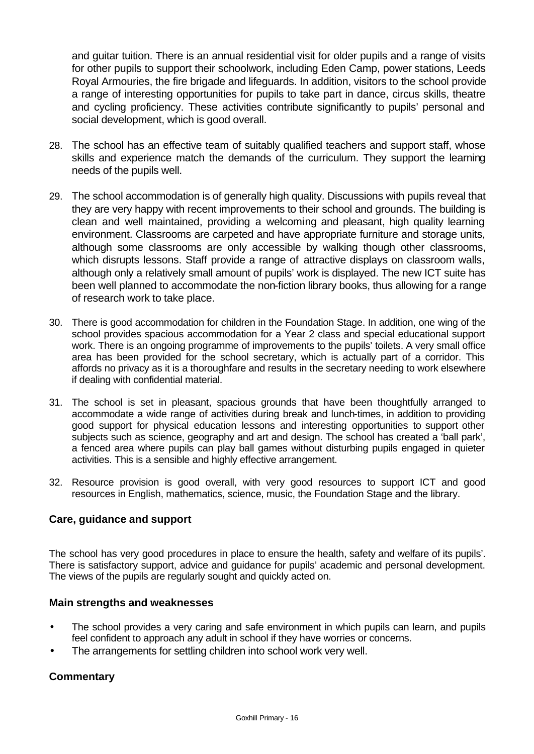and guitar tuition. There is an annual residential visit for older pupils and a range of visits for other pupils to support their schoolwork, including Eden Camp, power stations, Leeds Royal Armouries, the fire brigade and lifeguards. In addition, visitors to the school provide a range of interesting opportunities for pupils to take part in dance, circus skills, theatre and cycling proficiency. These activities contribute significantly to pupils' personal and social development, which is good overall.

- 28. The school has an effective team of suitably qualified teachers and support staff, whose skills and experience match the demands of the curriculum. They support the learning needs of the pupils well.
- 29. The school accommodation is of generally high quality. Discussions with pupils reveal that they are very happy with recent improvements to their school and grounds. The building is clean and well maintained, providing a welcoming and pleasant, high quality learning environment. Classrooms are carpeted and have appropriate furniture and storage units, although some classrooms are only accessible by walking though other classrooms, which disrupts lessons. Staff provide a range of attractive displays on classroom walls, although only a relatively small amount of pupils' work is displayed. The new ICT suite has been well planned to accommodate the non-fiction library books, thus allowing for a range of research work to take place.
- 30. There is good accommodation for children in the Foundation Stage. In addition, one wing of the school provides spacious accommodation for a Year 2 class and special educational support work. There is an ongoing programme of improvements to the pupils' toilets. A very small office area has been provided for the school secretary, which is actually part of a corridor. This affords no privacy as it is a thoroughfare and results in the secretary needing to work elsewhere if dealing with confidential material.
- 31. The school is set in pleasant, spacious grounds that have been thoughtfully arranged to accommodate a wide range of activities during break and lunch-times, in addition to providing good support for physical education lessons and interesting opportunities to support other subjects such as science, geography and art and design. The school has created a 'ball park', a fenced area where pupils can play ball games without disturbing pupils engaged in quieter activities. This is a sensible and highly effective arrangement.
- 32. Resource provision is good overall, with very good resources to support ICT and good resources in English, mathematics, science, music, the Foundation Stage and the library.

### **Care, guidance and support**

The school has very good procedures in place to ensure the health, safety and welfare of its pupils'. There is satisfactory support, advice and guidance for pupils' academic and personal development. The views of the pupils are regularly sought and quickly acted on.

#### **Main strengths and weaknesses**

- The school provides a very caring and safe environment in which pupils can learn, and pupils feel confident to approach any adult in school if they have worries or concerns.
- The arrangements for settling children into school work very well.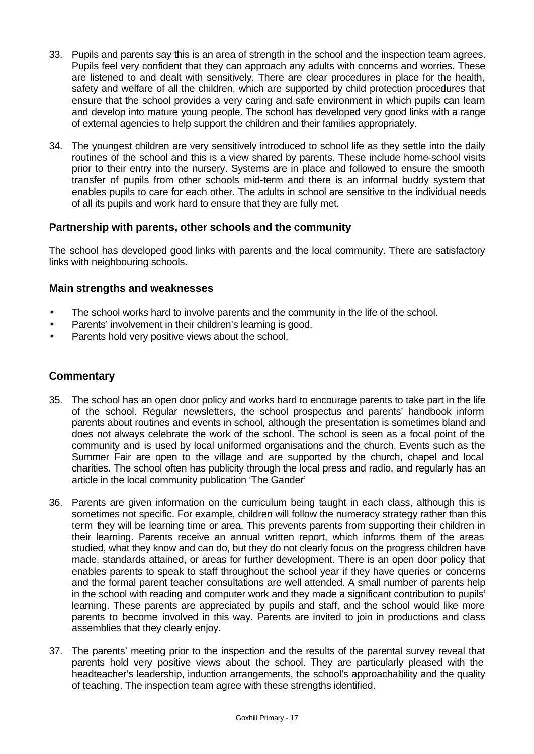- 33. Pupils and parents say this is an area of strength in the school and the inspection team agrees. Pupils feel very confident that they can approach any adults with concerns and worries. These are listened to and dealt with sensitively. There are clear procedures in place for the health, safety and welfare of all the children, which are supported by child protection procedures that ensure that the school provides a very caring and safe environment in which pupils can learn and develop into mature young people. The school has developed very good links with a range of external agencies to help support the children and their families appropriately.
- 34. The youngest children are very sensitively introduced to school life as they settle into the daily routines of the school and this is a view shared by parents. These include home-school visits prior to their entry into the nursery. Systems are in place and followed to ensure the smooth transfer of pupils from other schools mid-term and there is an informal buddy system that enables pupils to care for each other. The adults in school are sensitive to the individual needs of all its pupils and work hard to ensure that they are fully met.

#### **Partnership with parents, other schools and the community**

The school has developed good links with parents and the local community. There are satisfactory links with neighbouring schools.

#### **Main strengths and weaknesses**

- The school works hard to involve parents and the community in the life of the school.
- Parents' involvement in their children's learning is good.
- Parents hold very positive views about the school.

- 35. The school has an open door policy and works hard to encourage parents to take part in the life of the school. Regular newsletters, the school prospectus and parents' handbook inform parents about routines and events in school, although the presentation is sometimes bland and does not always celebrate the work of the school. The school is seen as a focal point of the community and is used by local uniformed organisations and the church. Events such as the Summer Fair are open to the village and are supported by the church, chapel and local charities. The school often has publicity through the local press and radio, and regularly has an article in the local community publication 'The Gander'
- 36. Parents are given information on the curriculum being taught in each class, although this is sometimes not specific. For example, children will follow the numeracy strategy rather than this term they will be learning time or area. This prevents parents from supporting their children in their learning. Parents receive an annual written report, which informs them of the areas studied, what they know and can do, but they do not clearly focus on the progress children have made, standards attained, or areas for further development. There is an open door policy that enables parents to speak to staff throughout the school year if they have queries or concerns and the formal parent teacher consultations are well attended. A small number of parents help in the school with reading and computer work and they made a significant contribution to pupils' learning. These parents are appreciated by pupils and staff, and the school would like more parents to become involved in this way. Parents are invited to join in productions and class assemblies that they clearly enjoy.
- 37. The parents' meeting prior to the inspection and the results of the parental survey reveal that parents hold very positive views about the school. They are particularly pleased with the headteacher's leadership, induction arrangements, the school's approachability and the quality of teaching. The inspection team agree with these strengths identified.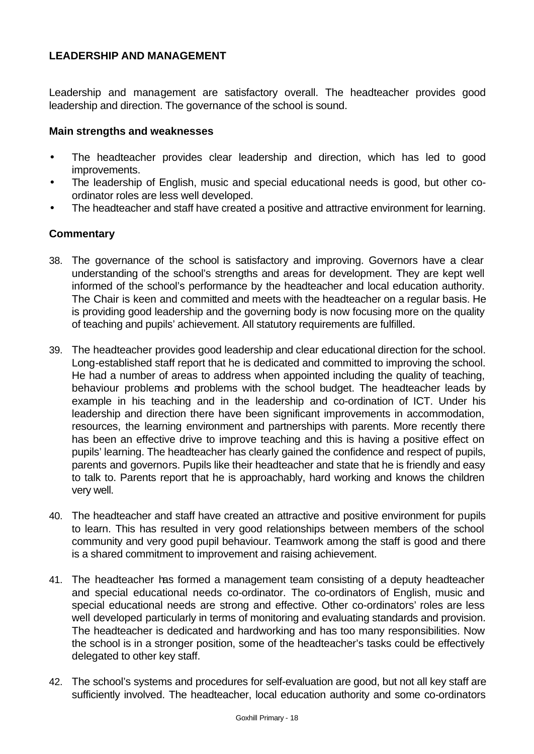## **LEADERSHIP AND MANAGEMENT**

Leadership and management are satisfactory overall. The headteacher provides good leadership and direction. The governance of the school is sound.

#### **Main strengths and weaknesses**

- The headteacher provides clear leadership and direction, which has led to good improvements.
- The leadership of English, music and special educational needs is good, but other coordinator roles are less well developed.
- The headteacher and staff have created a positive and attractive environment for learning.

- 38. The governance of the school is satisfactory and improving. Governors have a clear understanding of the school's strengths and areas for development. They are kept well informed of the school's performance by the headteacher and local education authority. The Chair is keen and committed and meets with the headteacher on a regular basis. He is providing good leadership and the governing body is now focusing more on the quality of teaching and pupils' achievement. All statutory requirements are fulfilled.
- 39. The headteacher provides good leadership and clear educational direction for the school. Long-established staff report that he is dedicated and committed to improving the school. He had a number of areas to address when appointed including the quality of teaching, behaviour problems and problems with the school budget. The headteacher leads by example in his teaching and in the leadership and co-ordination of ICT. Under his leadership and direction there have been significant improvements in accommodation, resources, the learning environment and partnerships with parents. More recently there has been an effective drive to improve teaching and this is having a positive effect on pupils' learning. The headteacher has clearly gained the confidence and respect of pupils, parents and governors. Pupils like their headteacher and state that he is friendly and easy to talk to. Parents report that he is approachably, hard working and knows the children very well.
- 40. The headteacher and staff have created an attractive and positive environment for pupils to learn. This has resulted in very good relationships between members of the school community and very good pupil behaviour. Teamwork among the staff is good and there is a shared commitment to improvement and raising achievement.
- 41. The headteacher has formed a management team consisting of a deputy headteacher and special educational needs co-ordinator. The co-ordinators of English, music and special educational needs are strong and effective. Other co-ordinators' roles are less well developed particularly in terms of monitoring and evaluating standards and provision. The headteacher is dedicated and hardworking and has too many responsibilities. Now the school is in a stronger position, some of the headteacher's tasks could be effectively delegated to other key staff.
- 42. The school's systems and procedures for self-evaluation are good, but not all key staff are sufficiently involved. The headteacher, local education authority and some co-ordinators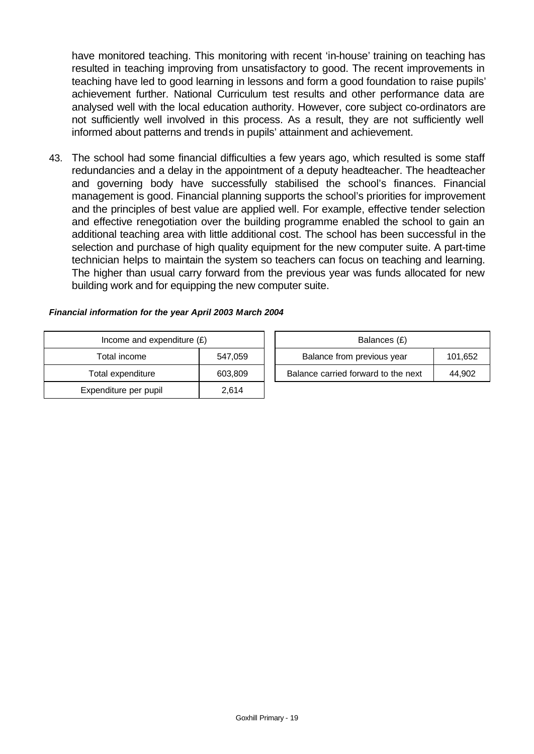have monitored teaching. This monitoring with recent 'in-house' training on teaching has resulted in teaching improving from unsatisfactory to good. The recent improvements in teaching have led to good learning in lessons and form a good foundation to raise pupils' achievement further. National Curriculum test results and other performance data are analysed well with the local education authority. However, core subject co-ordinators are not sufficiently well involved in this process. As a result, they are not sufficiently well informed about patterns and trends in pupils' attainment and achievement.

43. The school had some financial difficulties a few years ago, which resulted is some staff redundancies and a delay in the appointment of a deputy headteacher. The headteacher and governing body have successfully stabilised the school's finances. Financial management is good. Financial planning supports the school's priorities for improvement and the principles of best value are applied well. For example, effective tender selection and effective renegotiation over the building programme enabled the school to gain an additional teaching area with little additional cost. The school has been successful in the selection and purchase of high quality equipment for the new computer suite. A part-time technician helps to maintain the system so teachers can focus on teaching and learning. The higher than usual carry forward from the previous year was funds allocated for new building work and for equipping the new computer suite.

#### *Financial information for the year April 2003 March 2004*

| Income and expenditure $(E)$ |         |  | Balances (£)                     |
|------------------------------|---------|--|----------------------------------|
| Total income                 | 547,059 |  | Balance from previous year       |
| Total expenditure            | 603,809 |  | Balance carried forward to the i |
| Expenditure per pupil        | 2,614   |  |                                  |

| Income and expenditure $(E)$ |         | Balances (£)                          |        |
|------------------------------|---------|---------------------------------------|--------|
| Total income                 | 547.059 | Balance from previous year<br>101,652 |        |
| Total expenditure            | 603.809 | Balance carried forward to the next   | 44.902 |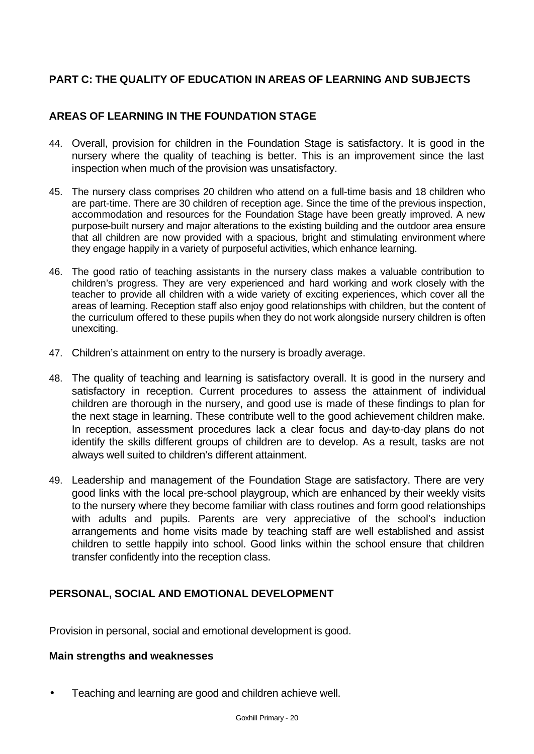# **PART C: THE QUALITY OF EDUCATION IN AREAS OF LEARNING AND SUBJECTS**

## **AREAS OF LEARNING IN THE FOUNDATION STAGE**

- 44. Overall, provision for children in the Foundation Stage is satisfactory. It is good in the nursery where the quality of teaching is better. This is an improvement since the last inspection when much of the provision was unsatisfactory.
- 45. The nursery class comprises 20 children who attend on a full-time basis and 18 children who are part-time. There are 30 children of reception age. Since the time of the previous inspection, accommodation and resources for the Foundation Stage have been greatly improved. A new purpose-built nursery and major alterations to the existing building and the outdoor area ensure that all children are now provided with a spacious, bright and stimulating environment where they engage happily in a variety of purposeful activities, which enhance learning.
- 46. The good ratio of teaching assistants in the nursery class makes a valuable contribution to children's progress. They are very experienced and hard working and work closely with the teacher to provide all children with a wide variety of exciting experiences, which cover all the areas of learning. Reception staff also enjoy good relationships with children, but the content of the curriculum offered to these pupils when they do not work alongside nursery children is often unexciting.
- 47. Children's attainment on entry to the nursery is broadly average.
- 48. The quality of teaching and learning is satisfactory overall. It is good in the nursery and satisfactory in reception. Current procedures to assess the attainment of individual children are thorough in the nursery, and good use is made of these findings to plan for the next stage in learning. These contribute well to the good achievement children make. In reception, assessment procedures lack a clear focus and day-to-day plans do not identify the skills different groups of children are to develop. As a result, tasks are not always well suited to children's different attainment.
- 49. Leadership and management of the Foundation Stage are satisfactory. There are very good links with the local pre-school playgroup, which are enhanced by their weekly visits to the nursery where they become familiar with class routines and form good relationships with adults and pupils. Parents are very appreciative of the school's induction arrangements and home visits made by teaching staff are well established and assist children to settle happily into school. Good links within the school ensure that children transfer confidently into the reception class.

## **PERSONAL, SOCIAL AND EMOTIONAL DEVELOPMENT**

Provision in personal, social and emotional development is good.

### **Main strengths and weaknesses**

• Teaching and learning are good and children achieve well.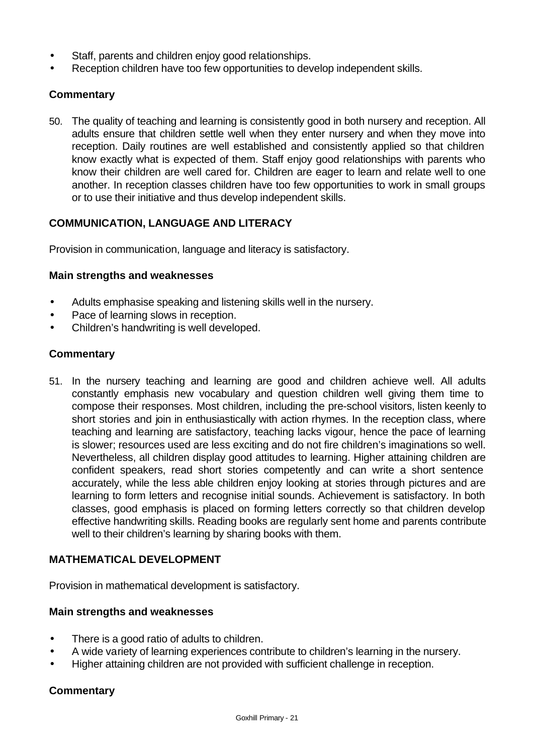- Staff, parents and children enjoy good relationships.
- Reception children have too few opportunities to develop independent skills.

### **Commentary**

50. The quality of teaching and learning is consistently good in both nursery and reception. All adults ensure that children settle well when they enter nursery and when they move into reception. Daily routines are well established and consistently applied so that children know exactly what is expected of them. Staff enjoy good relationships with parents who know their children are well cared for. Children are eager to learn and relate well to one another. In reception classes children have too few opportunities to work in small groups or to use their initiative and thus develop independent skills.

### **COMMUNICATION, LANGUAGE AND LITERACY**

Provision in communication, language and literacy is satisfactory.

#### **Main strengths and weaknesses**

- Adults emphasise speaking and listening skills well in the nursery.
- Pace of learning slows in reception.
- Children's handwriting is well developed.

#### **Commentary**

51. In the nursery teaching and learning are good and children achieve well. All adults constantly emphasis new vocabulary and question children well giving them time to compose their responses. Most children, including the pre-school visitors, listen keenly to short stories and join in enthusiastically with action rhymes. In the reception class, where teaching and learning are satisfactory, teaching lacks vigour, hence the pace of learning is slower; resources used are less exciting and do not fire children's imaginations so well. Nevertheless, all children display good attitudes to learning. Higher attaining children are confident speakers, read short stories competently and can write a short sentence accurately, while the less able children enjoy looking at stories through pictures and are learning to form letters and recognise initial sounds. Achievement is satisfactory. In both classes, good emphasis is placed on forming letters correctly so that children develop effective handwriting skills. Reading books are regularly sent home and parents contribute well to their children's learning by sharing books with them.

### **MATHEMATICAL DEVELOPMENT**

Provision in mathematical development is satisfactory.

#### **Main strengths and weaknesses**

- There is a good ratio of adults to children.
- A wide variety of learning experiences contribute to children's learning in the nursery.
- Higher attaining children are not provided with sufficient challenge in reception.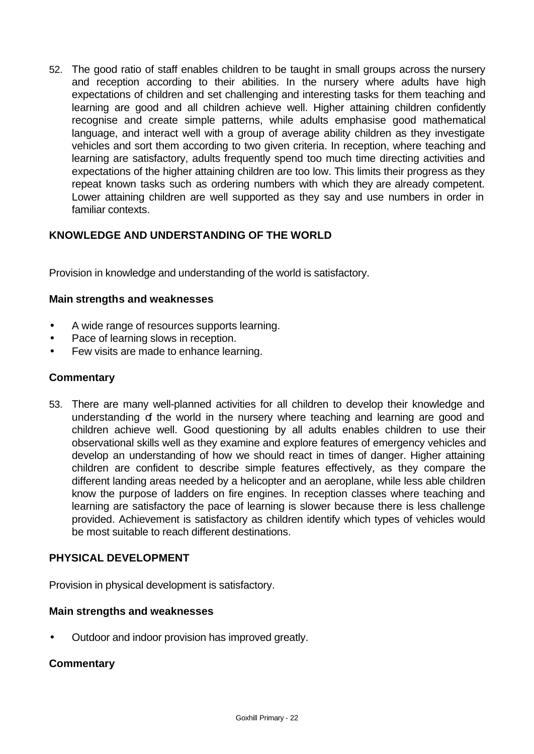52. The good ratio of staff enables children to be taught in small groups across the nursery and reception according to their abilities. In the nursery where adults have high expectations of children and set challenging and interesting tasks for them teaching and learning are good and all children achieve well. Higher attaining children confidently recognise and create simple patterns, while adults emphasise good mathematical language, and interact well with a group of average ability children as they investigate vehicles and sort them according to two given criteria. In reception, where teaching and learning are satisfactory, adults frequently spend too much time directing activities and expectations of the higher attaining children are too low. This limits their progress as they repeat known tasks such as ordering numbers with which they are already competent. Lower attaining children are well supported as they say and use numbers in order in familiar contexts.

# **KNOWLEDGE AND UNDERSTANDING OF THE WORLD**

Provision in knowledge and understanding of the world is satisfactory.

### **Main strengths and weaknesses**

- A wide range of resources supports learning.
- Pace of learning slows in reception.
- Few visits are made to enhance learning.

#### **Commentary**

53. There are many well-planned activities for all children to develop their knowledge and understanding of the world in the nursery where teaching and learning are good and children achieve well. Good questioning by all adults enables children to use their observational skills well as they examine and explore features of emergency vehicles and develop an understanding of how we should react in times of danger. Higher attaining children are confident to describe simple features effectively, as they compare the different landing areas needed by a helicopter and an aeroplane, while less able children know the purpose of ladders on fire engines. In reception classes where teaching and learning are satisfactory the pace of learning is slower because there is less challenge provided. Achievement is satisfactory as children identify which types of vehicles would be most suitable to reach different destinations.

### **PHYSICAL DEVELOPMENT**

Provision in physical development is satisfactory.

#### **Main strengths and weaknesses**

• Outdoor and indoor provision has improved greatly.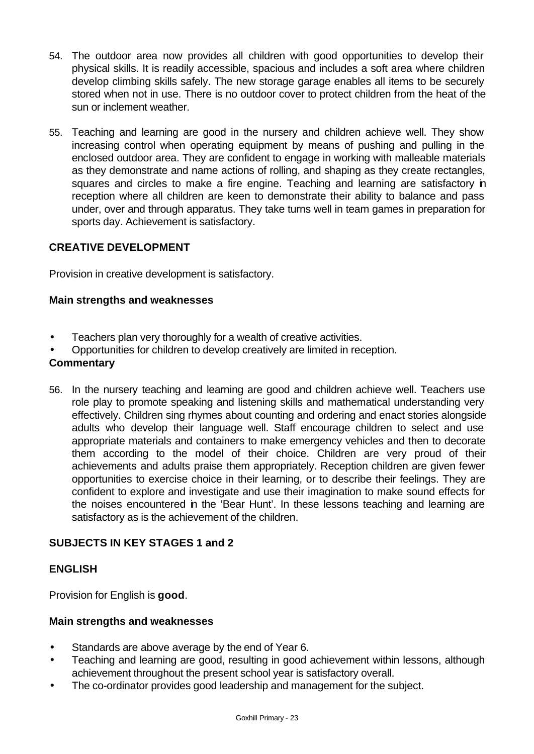- 54. The outdoor area now provides all children with good opportunities to develop their physical skills. It is readily accessible, spacious and includes a soft area where children develop climbing skills safely. The new storage garage enables all items to be securely stored when not in use. There is no outdoor cover to protect children from the heat of the sun or inclement weather.
- 55. Teaching and learning are good in the nursery and children achieve well. They show increasing control when operating equipment by means of pushing and pulling in the enclosed outdoor area. They are confident to engage in working with malleable materials as they demonstrate and name actions of rolling, and shaping as they create rectangles, squares and circles to make a fire engine. Teaching and learning are satisfactory in reception where all children are keen to demonstrate their ability to balance and pass under, over and through apparatus. They take turns well in team games in preparation for sports day. Achievement is satisfactory.

# **CREATIVE DEVELOPMENT**

Provision in creative development is satisfactory.

### **Main strengths and weaknesses**

- Teachers plan very thoroughly for a wealth of creative activities.
- Opportunities for children to develop creatively are limited in reception.

#### **Commentary**

56. In the nursery teaching and learning are good and children achieve well. Teachers use role play to promote speaking and listening skills and mathematical understanding very effectively. Children sing rhymes about counting and ordering and enact stories alongside adults who develop their language well. Staff encourage children to select and use appropriate materials and containers to make emergency vehicles and then to decorate them according to the model of their choice. Children are very proud of their achievements and adults praise them appropriately. Reception children are given fewer opportunities to exercise choice in their learning, or to describe their feelings. They are confident to explore and investigate and use their imagination to make sound effects for the noises encountered in the 'Bear Hunt'. In these lessons teaching and learning are satisfactory as is the achievement of the children.

## **SUBJECTS IN KEY STAGES 1 and 2**

### **ENGLISH**

Provision for English is **good**.

#### **Main strengths and weaknesses**

- Standards are above average by the end of Year 6.
- Teaching and learning are good, resulting in good achievement within lessons, although achievement throughout the present school year is satisfactory overall.
- The co-ordinator provides good leadership and management for the subject.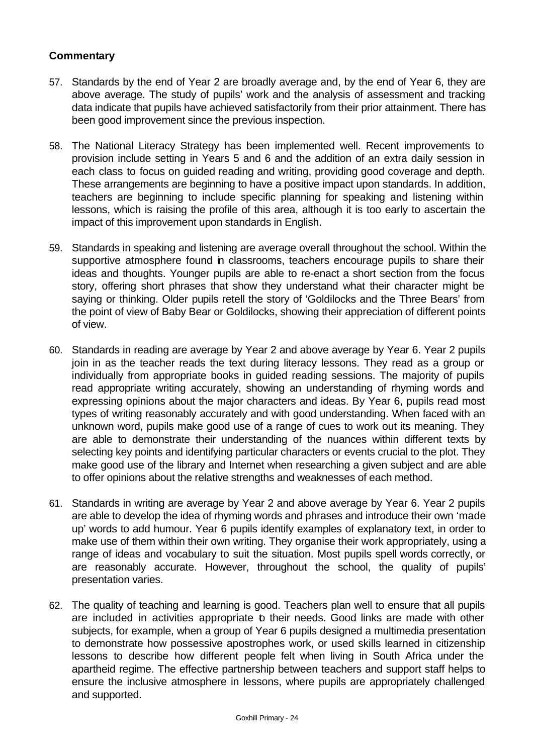- 57. Standards by the end of Year 2 are broadly average and, by the end of Year 6, they are above average. The study of pupils' work and the analysis of assessment and tracking data indicate that pupils have achieved satisfactorily from their prior attainment. There has been good improvement since the previous inspection.
- 58. The National Literacy Strategy has been implemented well. Recent improvements to provision include setting in Years 5 and 6 and the addition of an extra daily session in each class to focus on guided reading and writing, providing good coverage and depth. These arrangements are beginning to have a positive impact upon standards. In addition, teachers are beginning to include specific planning for speaking and listening within lessons, which is raising the profile of this area, although it is too early to ascertain the impact of this improvement upon standards in English.
- 59. Standards in speaking and listening are average overall throughout the school. Within the supportive atmosphere found in classrooms, teachers encourage pupils to share their ideas and thoughts. Younger pupils are able to re-enact a short section from the focus story, offering short phrases that show they understand what their character might be saying or thinking. Older pupils retell the story of 'Goldilocks and the Three Bears' from the point of view of Baby Bear or Goldilocks, showing their appreciation of different points of view.
- 60. Standards in reading are average by Year 2 and above average by Year 6. Year 2 pupils join in as the teacher reads the text during literacy lessons. They read as a group or individually from appropriate books in guided reading sessions. The majority of pupils read appropriate writing accurately, showing an understanding of rhyming words and expressing opinions about the major characters and ideas. By Year 6, pupils read most types of writing reasonably accurately and with good understanding. When faced with an unknown word, pupils make good use of a range of cues to work out its meaning. They are able to demonstrate their understanding of the nuances within different texts by selecting key points and identifying particular characters or events crucial to the plot. They make good use of the library and Internet when researching a given subject and are able to offer opinions about the relative strengths and weaknesses of each method.
- 61. Standards in writing are average by Year 2 and above average by Year 6. Year 2 pupils are able to develop the idea of rhyming words and phrases and introduce their own 'made up' words to add humour. Year 6 pupils identify examples of explanatory text, in order to make use of them within their own writing. They organise their work appropriately, using a range of ideas and vocabulary to suit the situation. Most pupils spell words correctly, or are reasonably accurate. However, throughout the school, the quality of pupils' presentation varies.
- 62. The quality of teaching and learning is good. Teachers plan well to ensure that all pupils are included in activities appropriate to their needs. Good links are made with other subjects, for example, when a group of Year 6 pupils designed a multimedia presentation to demonstrate how possessive apostrophes work, or used skills learned in citizenship lessons to describe how different people felt when living in South Africa under the apartheid regime. The effective partnership between teachers and support staff helps to ensure the inclusive atmosphere in lessons, where pupils are appropriately challenged and supported.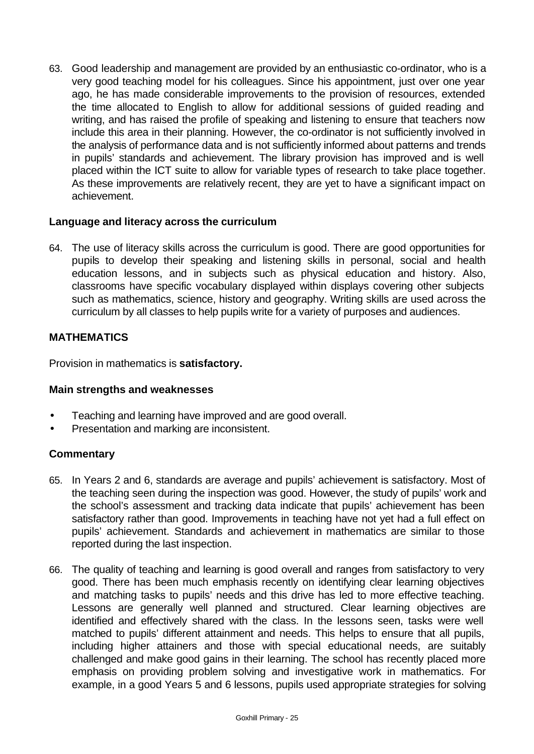63. Good leadership and management are provided by an enthusiastic co-ordinator, who is a very good teaching model for his colleagues. Since his appointment, just over one year ago, he has made considerable improvements to the provision of resources, extended the time allocated to English to allow for additional sessions of guided reading and writing, and has raised the profile of speaking and listening to ensure that teachers now include this area in their planning. However, the co-ordinator is not sufficiently involved in the analysis of performance data and is not sufficiently informed about patterns and trends in pupils' standards and achievement. The library provision has improved and is well placed within the ICT suite to allow for variable types of research to take place together. As these improvements are relatively recent, they are yet to have a significant impact on achievement.

### **Language and literacy across the curriculum**

64. The use of literacy skills across the curriculum is good. There are good opportunities for pupils to develop their speaking and listening skills in personal, social and health education lessons, and in subjects such as physical education and history. Also, classrooms have specific vocabulary displayed within displays covering other subjects such as mathematics, science, history and geography. Writing skills are used across the curriculum by all classes to help pupils write for a variety of purposes and audiences.

### **MATHEMATICS**

Provision in mathematics is **satisfactory.**

### **Main strengths and weaknesses**

- Teaching and learning have improved and are good overall.
- Presentation and marking are inconsistent.

- 65. In Years 2 and 6, standards are average and pupils' achievement is satisfactory. Most of the teaching seen during the inspection was good. However, the study of pupils' work and the school's assessment and tracking data indicate that pupils' achievement has been satisfactory rather than good. Improvements in teaching have not yet had a full effect on pupils' achievement. Standards and achievement in mathematics are similar to those reported during the last inspection.
- 66. The quality of teaching and learning is good overall and ranges from satisfactory to very good. There has been much emphasis recently on identifying clear learning objectives and matching tasks to pupils' needs and this drive has led to more effective teaching. Lessons are generally well planned and structured. Clear learning objectives are identified and effectively shared with the class. In the lessons seen, tasks were well matched to pupils' different attainment and needs. This helps to ensure that all pupils, including higher attainers and those with special educational needs, are suitably challenged and make good gains in their learning. The school has recently placed more emphasis on providing problem solving and investigative work in mathematics. For example, in a good Years 5 and 6 lessons, pupils used appropriate strategies for solving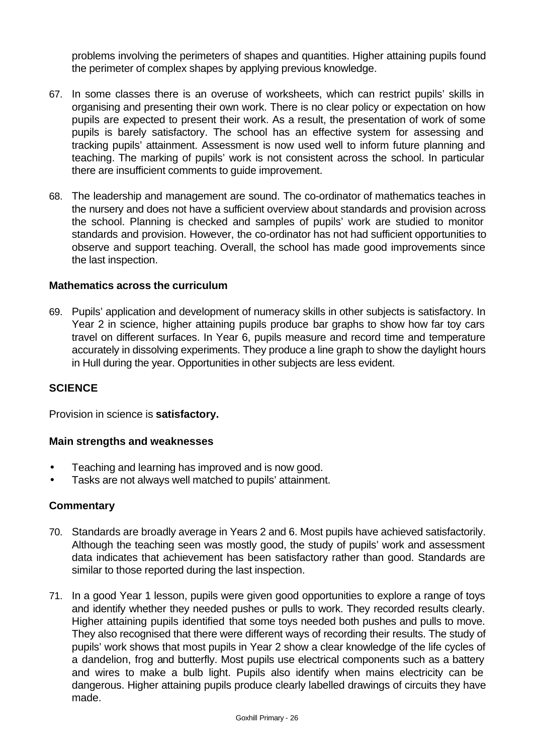problems involving the perimeters of shapes and quantities. Higher attaining pupils found the perimeter of complex shapes by applying previous knowledge.

- 67. In some classes there is an overuse of worksheets, which can restrict pupils' skills in organising and presenting their own work. There is no clear policy or expectation on how pupils are expected to present their work. As a result, the presentation of work of some pupils is barely satisfactory. The school has an effective system for assessing and tracking pupils' attainment. Assessment is now used well to inform future planning and teaching. The marking of pupils' work is not consistent across the school. In particular there are insufficient comments to guide improvement.
- 68. The leadership and management are sound. The co-ordinator of mathematics teaches in the nursery and does not have a sufficient overview about standards and provision across the school. Planning is checked and samples of pupils' work are studied to monitor standards and provision. However, the co-ordinator has not had sufficient opportunities to observe and support teaching. Overall, the school has made good improvements since the last inspection.

### **Mathematics across the curriculum**

69. Pupils' application and development of numeracy skills in other subjects is satisfactory. In Year 2 in science, higher attaining pupils produce bar graphs to show how far toy cars travel on different surfaces. In Year 6, pupils measure and record time and temperature accurately in dissolving experiments. They produce a line graph to show the daylight hours in Hull during the year. Opportunities in other subjects are less evident.

### **SCIENCE**

Provision in science is **satisfactory.**

#### **Main strengths and weaknesses**

- Teaching and learning has improved and is now good.
- Tasks are not always well matched to pupils' attainment.

- 70. Standards are broadly average in Years 2 and 6. Most pupils have achieved satisfactorily. Although the teaching seen was mostly good, the study of pupils' work and assessment data indicates that achievement has been satisfactory rather than good. Standards are similar to those reported during the last inspection.
- 71. In a good Year 1 lesson, pupils were given good opportunities to explore a range of toys and identify whether they needed pushes or pulls to work. They recorded results clearly. Higher attaining pupils identified that some toys needed both pushes and pulls to move. They also recognised that there were different ways of recording their results. The study of pupils' work shows that most pupils in Year 2 show a clear knowledge of the life cycles of a dandelion, frog and butterfly. Most pupils use electrical components such as a battery and wires to make a bulb light. Pupils also identify when mains electricity can be dangerous. Higher attaining pupils produce clearly labelled drawings of circuits they have made.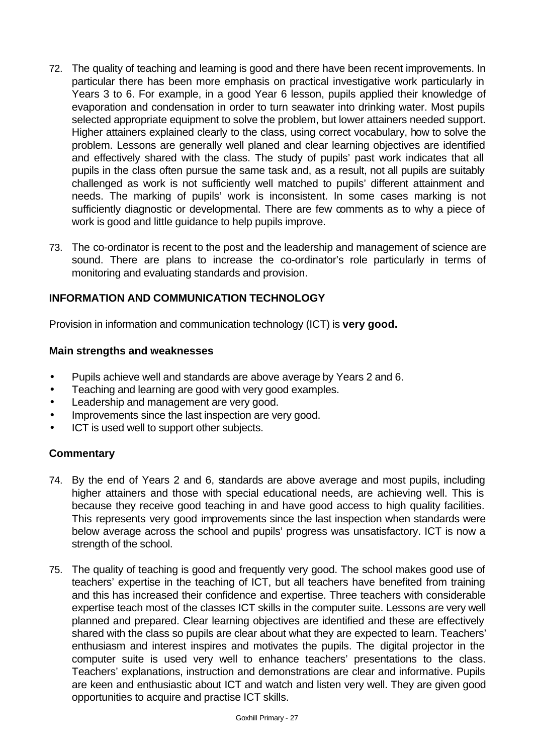- 72. The quality of teaching and learning is good and there have been recent improvements. In particular there has been more emphasis on practical investigative work particularly in Years 3 to 6. For example, in a good Year 6 lesson, pupils applied their knowledge of evaporation and condensation in order to turn seawater into drinking water. Most pupils selected appropriate equipment to solve the problem, but lower attainers needed support. Higher attainers explained clearly to the class, using correct vocabulary, how to solve the problem. Lessons are generally well planed and clear learning objectives are identified and effectively shared with the class. The study of pupils' past work indicates that all pupils in the class often pursue the same task and, as a result, not all pupils are suitably challenged as work is not sufficiently well matched to pupils' different attainment and needs. The marking of pupils' work is inconsistent. In some cases marking is not sufficiently diagnostic or developmental. There are few comments as to why a piece of work is good and little guidance to help pupils improve.
- 73. The co-ordinator is recent to the post and the leadership and management of science are sound. There are plans to increase the co-ordinator's role particularly in terms of monitoring and evaluating standards and provision.

## **INFORMATION AND COMMUNICATION TECHNOLOGY**

Provision in information and communication technology (ICT) is **very good.**

### **Main strengths and weaknesses**

- Pupils achieve well and standards are above average by Years 2 and 6.
- Teaching and learning are good with very good examples.
- Leadership and management are very good.
- Improvements since the last inspection are very good.
- ICT is used well to support other subjects.

- 74. By the end of Years 2 and 6, standards are above average and most pupils, including higher attainers and those with special educational needs, are achieving well. This is because they receive good teaching in and have good access to high quality facilities. This represents very good improvements since the last inspection when standards were below average across the school and pupils' progress was unsatisfactory. ICT is now a strength of the school.
- 75. The quality of teaching is good and frequently very good. The school makes good use of teachers' expertise in the teaching of ICT, but all teachers have benefited from training and this has increased their confidence and expertise. Three teachers with considerable expertise teach most of the classes ICT skills in the computer suite. Lessons are very well planned and prepared. Clear learning objectives are identified and these are effectively shared with the class so pupils are clear about what they are expected to learn. Teachers' enthusiasm and interest inspires and motivates the pupils. The digital projector in the computer suite is used very well to enhance teachers' presentations to the class. Teachers' explanations, instruction and demonstrations are clear and informative. Pupils are keen and enthusiastic about ICT and watch and listen very well. They are given good opportunities to acquire and practise ICT skills.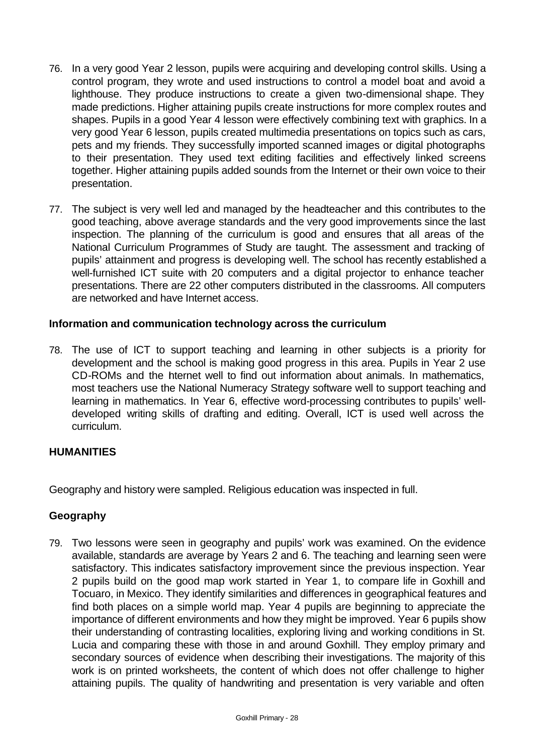- 76. In a very good Year 2 lesson, pupils were acquiring and developing control skills. Using a control program, they wrote and used instructions to control a model boat and avoid a lighthouse. They produce instructions to create a given two-dimensional shape. They made predictions. Higher attaining pupils create instructions for more complex routes and shapes. Pupils in a good Year 4 lesson were effectively combining text with graphics. In a very good Year 6 lesson, pupils created multimedia presentations on topics such as cars, pets and my friends. They successfully imported scanned images or digital photographs to their presentation. They used text editing facilities and effectively linked screens together. Higher attaining pupils added sounds from the Internet or their own voice to their presentation.
- 77. The subject is very well led and managed by the headteacher and this contributes to the good teaching, above average standards and the very good improvements since the last inspection. The planning of the curriculum is good and ensures that all areas of the National Curriculum Programmes of Study are taught. The assessment and tracking of pupils' attainment and progress is developing well. The school has recently established a well-furnished ICT suite with 20 computers and a digital projector to enhance teacher presentations. There are 22 other computers distributed in the classrooms. All computers are networked and have Internet access.

## **Information and communication technology across the curriculum**

78. The use of ICT to support teaching and learning in other subjects is a priority for development and the school is making good progress in this area. Pupils in Year 2 use CD-ROMs and the hternet well to find out information about animals. In mathematics, most teachers use the National Numeracy Strategy software well to support teaching and learning in mathematics. In Year 6, effective word-processing contributes to pupils' welldeveloped writing skills of drafting and editing. Overall, ICT is used well across the curriculum.

### **HUMANITIES**

Geography and history were sampled. Religious education was inspected in full.

### **Geography**

79. Two lessons were seen in geography and pupils' work was examined. On the evidence available, standards are average by Years 2 and 6. The teaching and learning seen were satisfactory. This indicates satisfactory improvement since the previous inspection. Year 2 pupils build on the good map work started in Year 1, to compare life in Goxhill and Tocuaro, in Mexico. They identify similarities and differences in geographical features and find both places on a simple world map. Year 4 pupils are beginning to appreciate the importance of different environments and how they might be improved. Year 6 pupils show their understanding of contrasting localities, exploring living and working conditions in St. Lucia and comparing these with those in and around Goxhill. They employ primary and secondary sources of evidence when describing their investigations. The majority of this work is on printed worksheets, the content of which does not offer challenge to higher attaining pupils. The quality of handwriting and presentation is very variable and often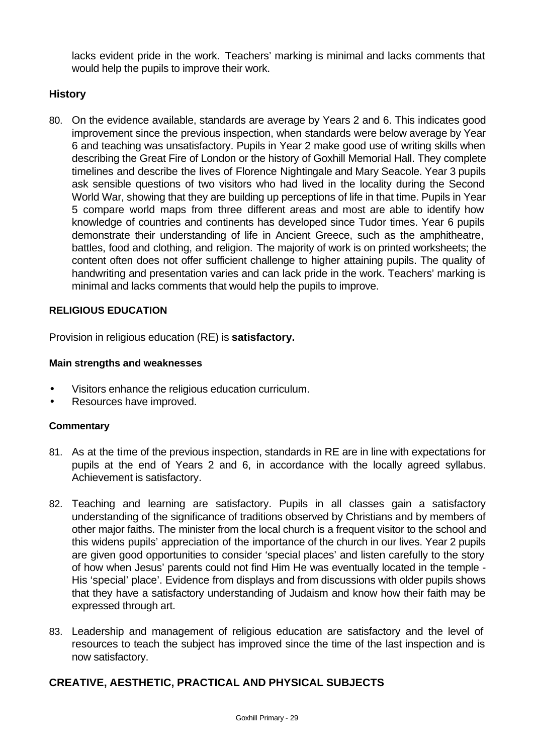lacks evident pride in the work. Teachers' marking is minimal and lacks comments that would help the pupils to improve their work.

## **History**

80. On the evidence available, standards are average by Years 2 and 6. This indicates good improvement since the previous inspection, when standards were below average by Year 6 and teaching was unsatisfactory. Pupils in Year 2 make good use of writing skills when describing the Great Fire of London or the history of Goxhill Memorial Hall. They complete timelines and describe the lives of Florence Nightingale and Mary Seacole. Year 3 pupils ask sensible questions of two visitors who had lived in the locality during the Second World War, showing that they are building up perceptions of life in that time. Pupils in Year 5 compare world maps from three different areas and most are able to identify how knowledge of countries and continents has developed since Tudor times. Year 6 pupils demonstrate their understanding of life in Ancient Greece, such as the amphitheatre, battles, food and clothing, and religion. The majority of work is on printed worksheets; the content often does not offer sufficient challenge to higher attaining pupils. The quality of handwriting and presentation varies and can lack pride in the work. Teachers' marking is minimal and lacks comments that would help the pupils to improve.

## **RELIGIOUS EDUCATION**

Provision in religious education (RE) is **satisfactory.**

### **Main strengths and weaknesses**

- Visitors enhance the religious education curriculum.
- Resources have improved.

### **Commentary**

- 81. As at the time of the previous inspection, standards in RE are in line with expectations for pupils at the end of Years 2 and 6, in accordance with the locally agreed syllabus. Achievement is satisfactory.
- 82. Teaching and learning are satisfactory. Pupils in all classes gain a satisfactory understanding of the significance of traditions observed by Christians and by members of other major faiths. The minister from the local church is a frequent visitor to the school and this widens pupils' appreciation of the importance of the church in our lives. Year 2 pupils are given good opportunities to consider 'special places' and listen carefully to the story of how when Jesus' parents could not find Him He was eventually located in the temple - His 'special' place'. Evidence from displays and from discussions with older pupils shows that they have a satisfactory understanding of Judaism and know how their faith may be expressed through art.
- 83. Leadership and management of religious education are satisfactory and the level of resources to teach the subject has improved since the time of the last inspection and is now satisfactory.

## **CREATIVE, AESTHETIC, PRACTICAL AND PHYSICAL SUBJECTS**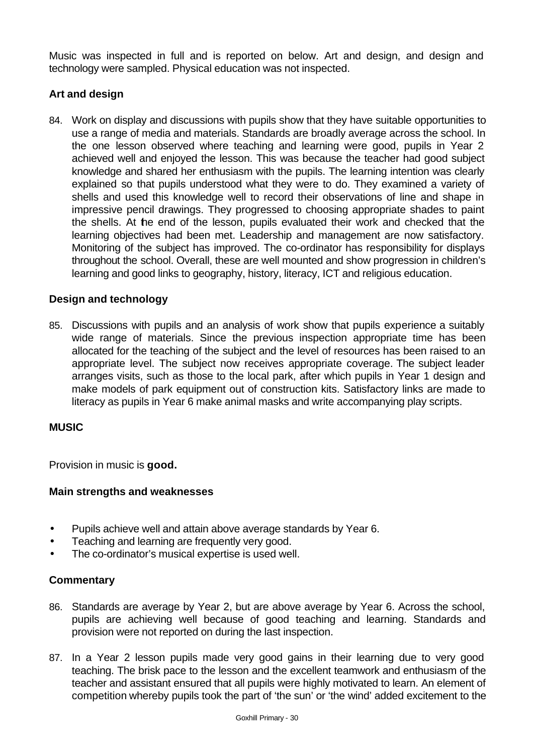Music was inspected in full and is reported on below. Art and design, and design and technology were sampled. Physical education was not inspected.

## **Art and design**

84. Work on display and discussions with pupils show that they have suitable opportunities to use a range of media and materials. Standards are broadly average across the school. In the one lesson observed where teaching and learning were good, pupils in Year 2 achieved well and enjoyed the lesson. This was because the teacher had good subject knowledge and shared her enthusiasm with the pupils. The learning intention was clearly explained so that pupils understood what they were to do. They examined a variety of shells and used this knowledge well to record their observations of line and shape in impressive pencil drawings. They progressed to choosing appropriate shades to paint the shells. At the end of the lesson, pupils evaluated their work and checked that the learning objectives had been met. Leadership and management are now satisfactory. Monitoring of the subject has improved. The co-ordinator has responsibility for displays throughout the school. Overall, these are well mounted and show progression in children's learning and good links to geography, history, literacy, ICT and religious education.

## **Design and technology**

85. Discussions with pupils and an analysis of work show that pupils experience a suitably wide range of materials. Since the previous inspection appropriate time has been allocated for the teaching of the subject and the level of resources has been raised to an appropriate level. The subject now receives appropriate coverage. The subject leader arranges visits, such as those to the local park, after which pupils in Year 1 design and make models of park equipment out of construction kits. Satisfactory links are made to literacy as pupils in Year 6 make animal masks and write accompanying play scripts.

### **MUSIC**

Provision in music is **good.**

### **Main strengths and weaknesses**

- Pupils achieve well and attain above average standards by Year 6.
- Teaching and learning are frequently very good.
- The co-ordinator's musical expertise is used well.

- 86. Standards are average by Year 2, but are above average by Year 6. Across the school, pupils are achieving well because of good teaching and learning. Standards and provision were not reported on during the last inspection.
- 87. In a Year 2 lesson pupils made very good gains in their learning due to very good teaching. The brisk pace to the lesson and the excellent teamwork and enthusiasm of the teacher and assistant ensured that all pupils were highly motivated to learn. An element of competition whereby pupils took the part of 'the sun' or 'the wind' added excitement to the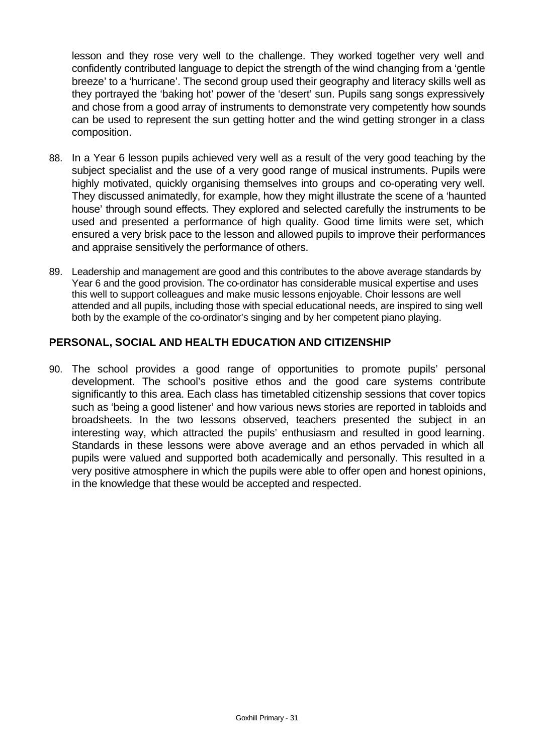lesson and they rose very well to the challenge. They worked together very well and confidently contributed language to depict the strength of the wind changing from a 'gentle breeze' to a 'hurricane'. The second group used their geography and literacy skills well as they portrayed the 'baking hot' power of the 'desert' sun. Pupils sang songs expressively and chose from a good array of instruments to demonstrate very competently how sounds can be used to represent the sun getting hotter and the wind getting stronger in a class composition.

- 88. In a Year 6 lesson pupils achieved very well as a result of the very good teaching by the subject specialist and the use of a very good range of musical instruments. Pupils were highly motivated, quickly organising themselves into groups and co-operating very well. They discussed animatedly, for example, how they might illustrate the scene of a 'haunted house' through sound effects. They explored and selected carefully the instruments to be used and presented a performance of high quality. Good time limits were set, which ensured a very brisk pace to the lesson and allowed pupils to improve their performances and appraise sensitively the performance of others.
- 89. Leadership and management are good and this contributes to the above average standards by Year 6 and the good provision. The co-ordinator has considerable musical expertise and uses this well to support colleagues and make music lessons enjoyable. Choir lessons are well attended and all pupils, including those with special educational needs, are inspired to sing well both by the example of the co-ordinator's singing and by her competent piano playing.

### **PERSONAL, SOCIAL AND HEALTH EDUCATION AND CITIZENSHIP**

90. The school provides a good range of opportunities to promote pupils' personal development. The school's positive ethos and the good care systems contribute significantly to this area. Each class has timetabled citizenship sessions that cover topics such as 'being a good listener' and how various news stories are reported in tabloids and broadsheets. In the two lessons observed, teachers presented the subject in an interesting way, which attracted the pupils' enthusiasm and resulted in good learning. Standards in these lessons were above average and an ethos pervaded in which all pupils were valued and supported both academically and personally. This resulted in a very positive atmosphere in which the pupils were able to offer open and honest opinions, in the knowledge that these would be accepted and respected.